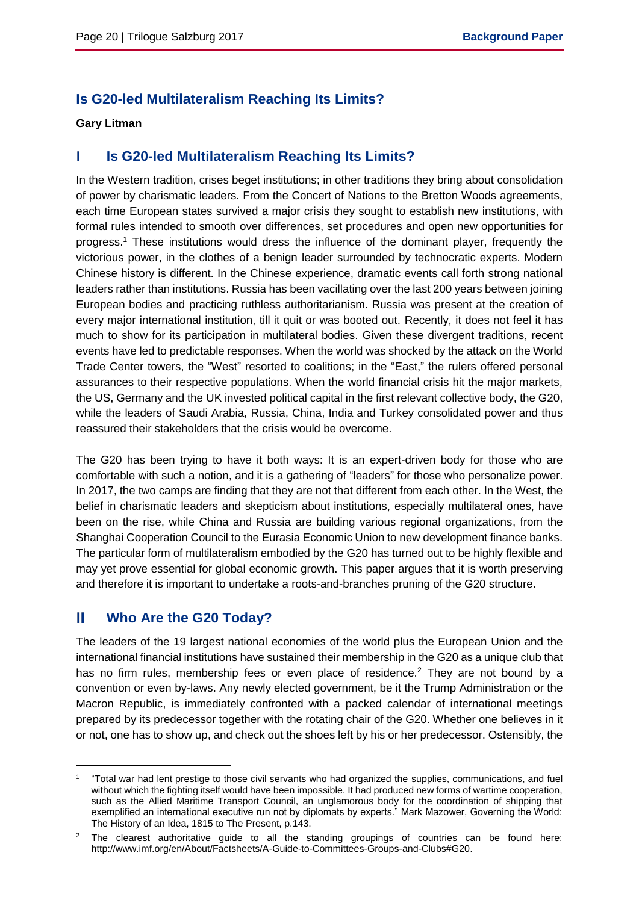## **Is G20-led Multilateralism Reaching Its Limits?**

## **Gary Litman**

#### Т **Is G20-led Multilateralism Reaching Its Limits?**

In the Western tradition, crises beget institutions; in other traditions they bring about consolidation of power by charismatic leaders. From the Concert of Nations to the Bretton Woods agreements, each time European states survived a major crisis they sought to establish new institutions, with formal rules intended to smooth over differences, set procedures and open new opportunities for progress.<sup>1</sup> These institutions would dress the influence of the dominant player, frequently the victorious power, in the clothes of a benign leader surrounded by technocratic experts. Modern Chinese history is different. In the Chinese experience, dramatic events call forth strong national leaders rather than institutions. Russia has been vacillating over the last 200 years between joining European bodies and practicing ruthless authoritarianism. Russia was present at the creation of every major international institution, till it quit or was booted out. Recently, it does not feel it has much to show for its participation in multilateral bodies. Given these divergent traditions, recent events have led to predictable responses. When the world was shocked by the attack on the World Trade Center towers, the "West" resorted to coalitions; in the "East," the rulers offered personal assurances to their respective populations. When the world financial crisis hit the major markets, the US, Germany and the UK invested political capital in the first relevant collective body, the G20, while the leaders of Saudi Arabia, Russia, China, India and Turkey consolidated power and thus reassured their stakeholders that the crisis would be overcome.

The G20 has been trying to have it both ways: It is an expert-driven body for those who are comfortable with such a notion, and it is a gathering of "leaders" for those who personalize power. In 2017, the two camps are finding that they are not that different from each other. In the West, the belief in charismatic leaders and skepticism about institutions, especially multilateral ones, have been on the rise, while China and Russia are building various regional organizations, from the Shanghai Cooperation Council to the Eurasia Economic Union to new development finance banks. The particular form of multilateralism embodied by the G20 has turned out to be highly flexible and may yet prove essential for global economic growth. This paper argues that it is worth preserving and therefore it is important to undertake a roots-and-branches pruning of the G20 structure.

#### Ш **Who Are the G20 Today?**

 $\overline{a}$ 

The leaders of the 19 largest national economies of the world plus the European Union and the international financial institutions have sustained their membership in the G20 as a unique club that has no firm rules, membership fees or even place of residence.<sup>2</sup> They are not bound by a convention or even by-laws. Any newly elected government, be it the Trump Administration or the Macron Republic, is immediately confronted with a packed calendar of international meetings prepared by its predecessor together with the rotating chair of the G20. Whether one believes in it or not, one has to show up, and check out the shoes left by his or her predecessor. Ostensibly, the

<sup>1</sup> "Total war had lent prestige to those civil servants who had organized the supplies, communications, and fuel without which the fighting itself would have been impossible. It had produced new forms of wartime cooperation, such as the Allied Maritime Transport Council, an unglamorous body for the coordination of shipping that exemplified an international executive run not by diplomats by experts." Mark Mazower, Governing the World: The History of an Idea, 1815 to The Present, p.143.

The clearest authoritative guide to all the standing groupings of countries can be found here: http://www.imf.org/en/About/Factsheets/A-Guide-to-Committees-Groups-and-Clubs#G20.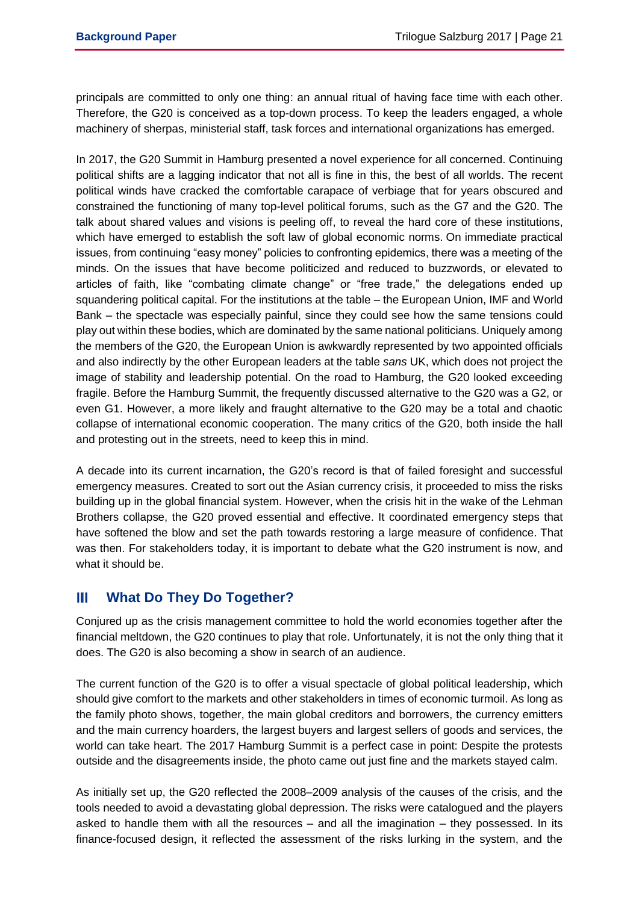principals are committed to only one thing: an annual ritual of having face time with each other. Therefore, the G20 is conceived as a top-down process. To keep the leaders engaged, a whole machinery of sherpas, ministerial staff, task forces and international organizations has emerged.

In 2017, the G20 Summit in Hamburg presented a novel experience for all concerned. Continuing political shifts are a lagging indicator that not all is fine in this, the best of all worlds. The recent political winds have cracked the comfortable carapace of verbiage that for years obscured and constrained the functioning of many top-level political forums, such as the G7 and the G20. The talk about shared values and visions is peeling off, to reveal the hard core of these institutions, which have emerged to establish the soft law of global economic norms. On immediate practical issues, from continuing "easy money" policies to confronting epidemics, there was a meeting of the minds. On the issues that have become politicized and reduced to buzzwords, or elevated to articles of faith, like "combating climate change" or "free trade," the delegations ended up squandering political capital. For the institutions at the table – the European Union, IMF and World Bank – the spectacle was especially painful, since they could see how the same tensions could play out within these bodies, which are dominated by the same national politicians. Uniquely among the members of the G20, the European Union is awkwardly represented by two appointed officials and also indirectly by the other European leaders at the table *sans* UK, which does not project the image of stability and leadership potential. On the road to Hamburg, the G20 looked exceeding fragile. Before the Hamburg Summit, the frequently discussed alternative to the G20 was a G2, or even G1. However, a more likely and fraught alternative to the G20 may be a total and chaotic collapse of international economic cooperation. The many critics of the G20, both inside the hall and protesting out in the streets, need to keep this in mind.

A decade into its current incarnation, the G20's record is that of failed foresight and successful emergency measures. Created to sort out the Asian currency crisis, it proceeded to miss the risks building up in the global financial system. However, when the crisis hit in the wake of the Lehman Brothers collapse, the G20 proved essential and effective. It coordinated emergency steps that have softened the blow and set the path towards restoring a large measure of confidence. That was then. For stakeholders today, it is important to debate what the G20 instrument is now, and what it should be.

#### Ш **What Do They Do Together?**

Conjured up as the crisis management committee to hold the world economies together after the financial meltdown, the G20 continues to play that role. Unfortunately, it is not the only thing that it does. The G20 is also becoming a show in search of an audience.

The current function of the G20 is to offer a visual spectacle of global political leadership, which should give comfort to the markets and other stakeholders in times of economic turmoil. As long as the family photo shows, together, the main global creditors and borrowers, the currency emitters and the main currency hoarders, the largest buyers and largest sellers of goods and services, the world can take heart. The 2017 Hamburg Summit is a perfect case in point: Despite the protests outside and the disagreements inside, the photo came out just fine and the markets stayed calm.

As initially set up, the G20 reflected the 2008–2009 analysis of the causes of the crisis, and the tools needed to avoid a devastating global depression. The risks were catalogued and the players asked to handle them with all the resources – and all the imagination – they possessed. In its finance-focused design, it reflected the assessment of the risks lurking in the system, and the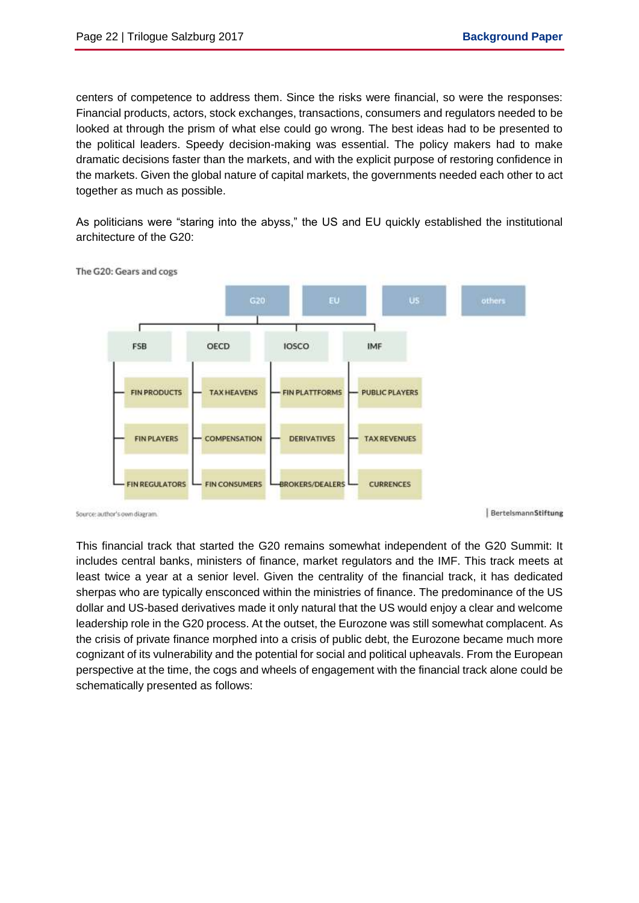centers of competence to address them. Since the risks were financial, so were the responses: Financial products, actors, stock exchanges, transactions, consumers and regulators needed to be looked at through the prism of what else could go wrong. The best ideas had to be presented to the political leaders. Speedy decision-making was essential. The policy makers had to make dramatic decisions faster than the markets, and with the explicit purpose of restoring confidence in the markets. Given the global nature of capital markets, the governments needed each other to act together as much as possible.

As politicians were "staring into the abyss," the US and EU quickly established the institutional architecture of the G20:



The G20: Gears and cogs

Source: author's own diagram

BertelsmannStiftung

This financial track that started the G20 remains somewhat independent of the G20 Summit: It includes central banks, ministers of finance, market regulators and the IMF. This track meets at least twice a year at a senior level. Given the centrality of the financial track, it has dedicated sherpas who are typically ensconced within the ministries of finance. The predominance of the US dollar and US-based derivatives made it only natural that the US would enjoy a clear and welcome leadership role in the G20 process. At the outset, the Eurozone was still somewhat complacent. As the crisis of private finance morphed into a crisis of public debt, the Eurozone became much more cognizant of its vulnerability and the potential for social and political upheavals. From the European perspective at the time, the cogs and wheels of engagement with the financial track alone could be schematically presented as follows: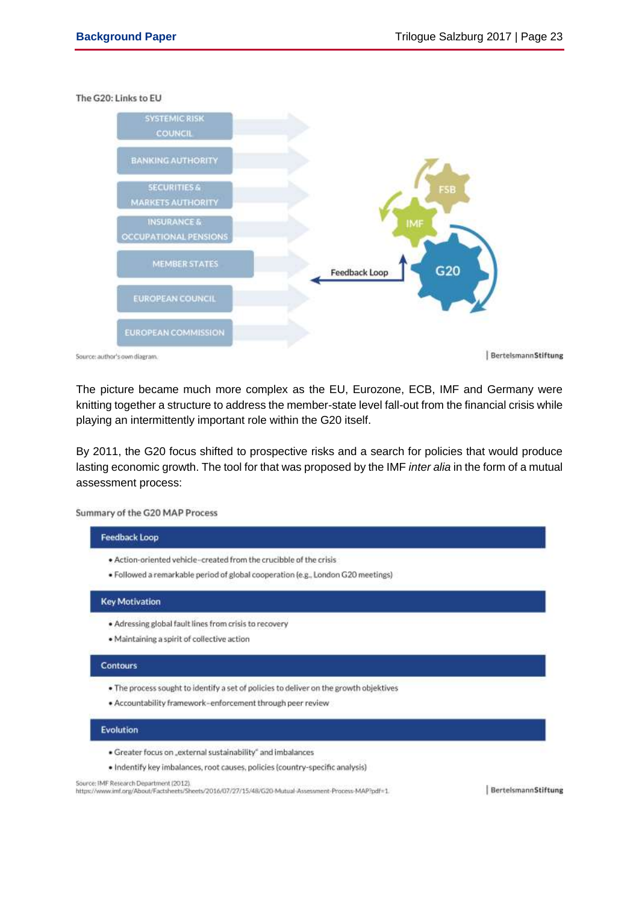The G20: Links to EU



Source: author's own diagram.

BertelsmannStiftung

The picture became much more complex as the EU, Eurozone, ECB, IMF and Germany were knitting together a structure to address the member-state level fall-out from the financial crisis while playing an intermittently important role within the G20 itself.

By 2011, the G20 focus shifted to prospective risks and a search for policies that would produce lasting economic growth. The tool for that was proposed by the IMF *inter alia* in the form of a mutual assessment process:

Summary of the G20 MAP Process

# **Feedback Loop** . Action-oriented vehicle-created from the crucibble of the crisis

· Followed a remarkable period of global cooperation (e.g., London G20 meetings)

### **Key Motivation**

- · Adressing global fault lines from crisis to recovery
- · Maintaining a spirit of collective action

## Contours

- . The process sought to identify a set of policies to deliver on the growth objektives
- · Accountability framework-enforcement through peer review

## **Evolution**

- · Greater focus on "external sustainability" and imbalances
- · Indentify key imbalances, root causes, policies (country-specific analysis)

Source: IMF Research Department (2012).

https://www.imf.org/About/Factsheets/Sheets/2016/07/27/15/48/G20-Mutual-Assessment-Process-MAP?pdf=1.

BertelsmannStiftung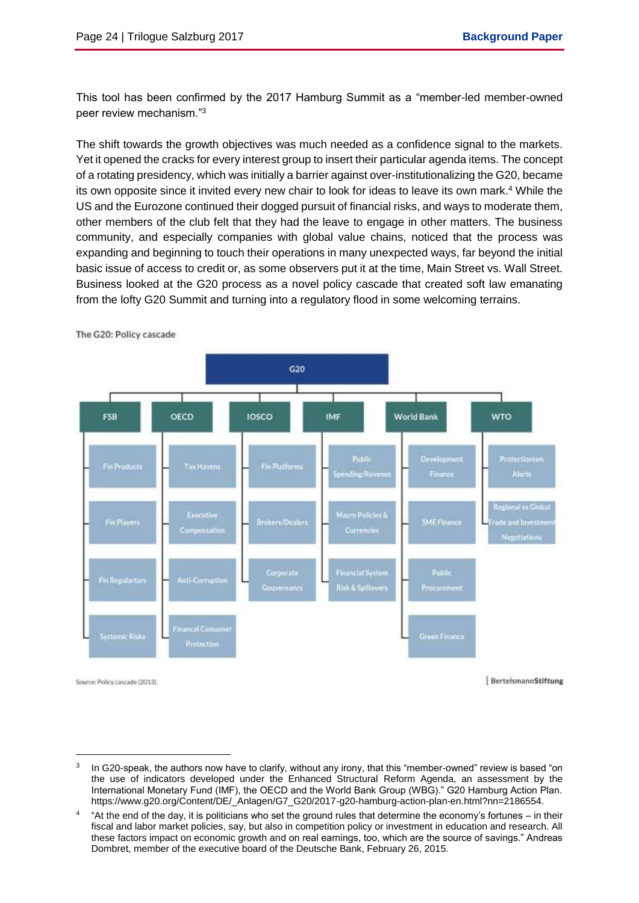This tool has been confirmed by the 2017 Hamburg Summit as a "member-led member-owned peer review mechanism."<sup>3</sup>

The shift towards the growth objectives was much needed as a confidence signal to the markets. Yet it opened the cracks for every interest group to insert their particular agenda items. The concept of a rotating presidency, which was initially a barrier against over-institutionalizing the G20, became its own opposite since it invited every new chair to look for ideas to leave its own mark.<sup>4</sup> While the US and the Eurozone continued their dogged pursuit of financial risks, and ways to moderate them, other members of the club felt that they had the leave to engage in other matters. The business community, and especially companies with global value chains, noticed that the process was expanding and beginning to touch their operations in many unexpected ways, far beyond the initial basic issue of access to credit or, as some observers put it at the time, Main Street vs. Wall Street. Business looked at the G20 process as a novel policy cascade that created soft law emanating from the lofty G20 Summit and turning into a regulatory flood in some welcoming terrains.



The G20: Policy cascade

 $\overline{a}$ 

<sup>3</sup> In G20-speak, the authors now have to clarify, without any irony, that this "member-owned" review is based "on the use of indicators developed under the Enhanced Structural Reform Agenda, an assessment by the International Monetary Fund (IMF), the OECD and the World Bank Group (WBG)." G20 Hamburg Action Plan. https://www.g20.org/Content/DE/\_Anlagen/G7\_G20/2017-g20-hamburg-action-plan-en.html?nn=2186554.

<sup>4</sup> "At the end of the day, it is politicians who set the ground rules that determine the economy's fortunes – in their fiscal and labor market policies, say, but also in competition policy or investment in education and research. All these factors impact on economic growth and on real earnings, too, which are the source of savings." Andreas Dombret, member of the executive board of the Deutsche Bank, February 26, 2015.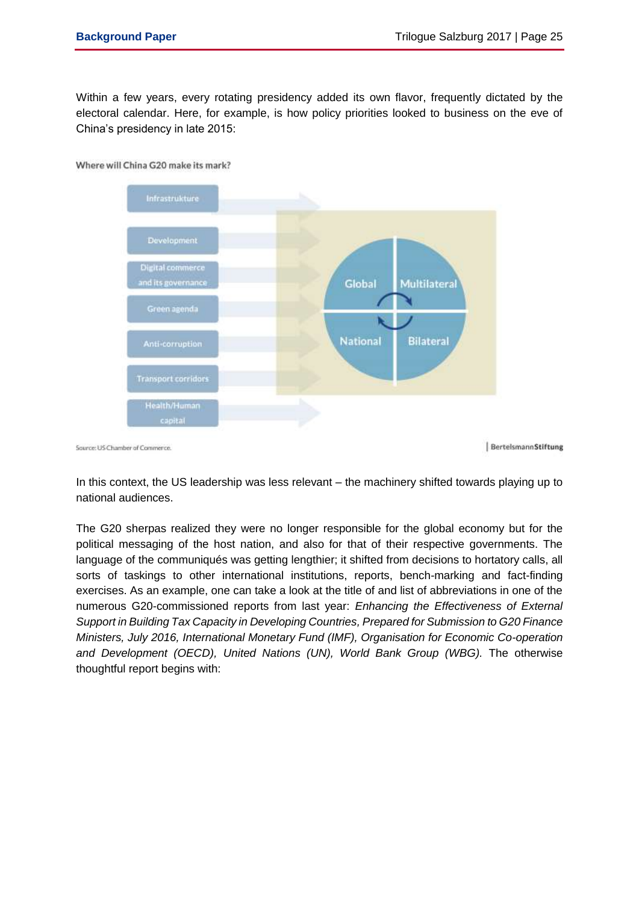Within a few years, every rotating presidency added its own flavor, frequently dictated by the electoral calendar. Here, for example, is how policy priorities looked to business on the eve of China's presidency in late 2015:



In this context, the US leadership was less relevant – the machinery shifted towards playing up to national audiences.

The G20 sherpas realized they were no longer responsible for the global economy but for the political messaging of the host nation, and also for that of their respective governments. The language of the communiqués was getting lengthier; it shifted from decisions to hortatory calls, all sorts of taskings to other international institutions, reports, bench-marking and fact-finding exercises. As an example, one can take a look at the title of and list of abbreviations in one of the numerous G20-commissioned reports from last year: *Enhancing the Effectiveness of External Support in Building Tax Capacity in Developing Countries, Prepared for Submission to G20 Finance Ministers, July 2016, International Monetary Fund (IMF), Organisation for Economic Co-operation and Development (OECD), United Nations (UN), World Bank Group (WBG).* The otherwise thoughtful report begins with: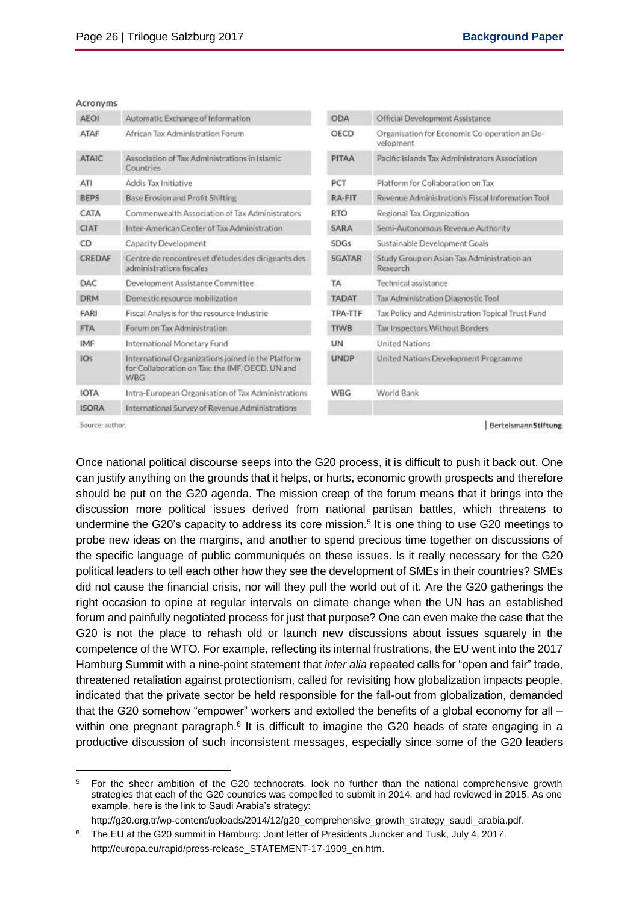|  | Acronyms |
|--|----------|
|  |          |

| veronyms.    |                                                                                                              |               |                                                            |
|--------------|--------------------------------------------------------------------------------------------------------------|---------------|------------------------------------------------------------|
| <b>AEOI</b>  | Automatic Exchange of Information                                                                            | <b>ODA</b>    | Official Development Assistance                            |
| ATAF         | African Tax Administration Forum                                                                             | OECD          | Organisation for Economic Co-operation an De-<br>velopment |
| <b>ATAIC</b> | Association of Tax Administrations in Islamic<br><b>Countries</b>                                            | PITAA         | Pacific Islands Tax Administrators Association             |
| ATI          | Addis Tax Initiative                                                                                         | PCT           | Platform for Collaboration on Tax                          |
| <b>BEPS</b>  | Base Erosion and Profit Shifting                                                                             | RA-FIT        | Revenue Administration's Fiscal Information Tool           |
| CATA         | Commenwealth Association of Tax Administrators                                                               | <b>RTO</b>    | Regional Tax Organization                                  |
| <b>CIAT</b>  | Inter-American Center of Tax Administration                                                                  | SARA          | Semi-Autonomous Revenue Authority                          |
| CD           | Capacity Development                                                                                         | <b>SDGs</b>   | Sustainable Development Goals                              |
| CREDAF       | Centre de rencontres et d'études des dirigeants des<br>administrations fiscales                              | <b>SGATAR</b> | Study Group on Asian Tax Administration an<br>Research     |
| DAC          | Development Assistance Committee                                                                             | TA            | Technical assistance.                                      |
| DRM          | Domestic resource mobilization                                                                               | <b>TADAT</b>  | Tax Administration Diagnostic Tool                         |
| FARI         | Fiscal Analysis for the resource Industrie                                                                   | TPA-TTF       | Tax Policy and Administration Topical Trust Fund           |
| <b>FTA</b>   | Forum on Tax Administration                                                                                  | <b>TIWB</b>   | Tax Inspectors Without Borders                             |
| IMF          | International Monetary Fund                                                                                  | UN            | <b>United Nations</b>                                      |
| IOs          | International Organizations joined in the Platform<br>for Collaboration on Tax: the IMF, OECD, UN and<br>WBG | <b>UNDP</b>   | United Nations Development Programme                       |
| <b>IOTA</b>  | Intra-European Organisation of Tax Administrations                                                           | <b>WBG</b>    | World Bank                                                 |
| <b>ISORA</b> | International Survey of Revenue Administrations                                                              |               |                                                            |
|              |                                                                                                              |               |                                                            |

Source: author.

 $\overline{a}$ 

BertelsmannStiftung

Once national political discourse seeps into the G20 process, it is difficult to push it back out. One can justify anything on the grounds that it helps, or hurts, economic growth prospects and therefore should be put on the G20 agenda. The mission creep of the forum means that it brings into the discussion more political issues derived from national partisan battles, which threatens to undermine the G20's capacity to address its core mission.<sup>5</sup> It is one thing to use G20 meetings to probe new ideas on the margins, and another to spend precious time together on discussions of the specific language of public communiqués on these issues. Is it really necessary for the G20 political leaders to tell each other how they see the development of SMEs in their countries? SMEs did not cause the financial crisis, nor will they pull the world out of it. Are the G20 gatherings the right occasion to opine at regular intervals on climate change when the UN has an established forum and painfully negotiated process for just that purpose? One can even make the case that the G20 is not the place to rehash old or launch new discussions about issues squarely in the competence of the WTO. For example, reflecting its internal frustrations, the EU went into the 2017 Hamburg Summit with a nine-point statement that *inter alia* repeated calls for "open and fair" trade, threatened retaliation against protectionism, called for revisiting how globalization impacts people, indicated that the private sector be held responsible for the fall-out from globalization, demanded that the G20 somehow "empower" workers and extolled the benefits of a global economy for all – within one pregnant paragraph.<sup>6</sup> It is difficult to imagine the G20 heads of state engaging in a productive discussion of such inconsistent messages, especially since some of the G20 leaders

<sup>5</sup> For the sheer ambition of the G20 technocrats, look no further than the national comprehensive growth strategies that each of the G20 countries was compelled to submit in 2014, and had reviewed in 2015. As one example, here is the link to Saudi Arabia's strategy:

http://g20.org.tr/wp-content/uploads/2014/12/g20\_comprehensive\_growth\_strategy\_saudi\_arabia.pdf.

<sup>6</sup> The EU at the G20 summit in Hamburg: Joint letter of Presidents Juncker and Tusk, July 4, 2017. http://europa.eu/rapid/press-release\_STATEMENT-17-1909\_en.htm.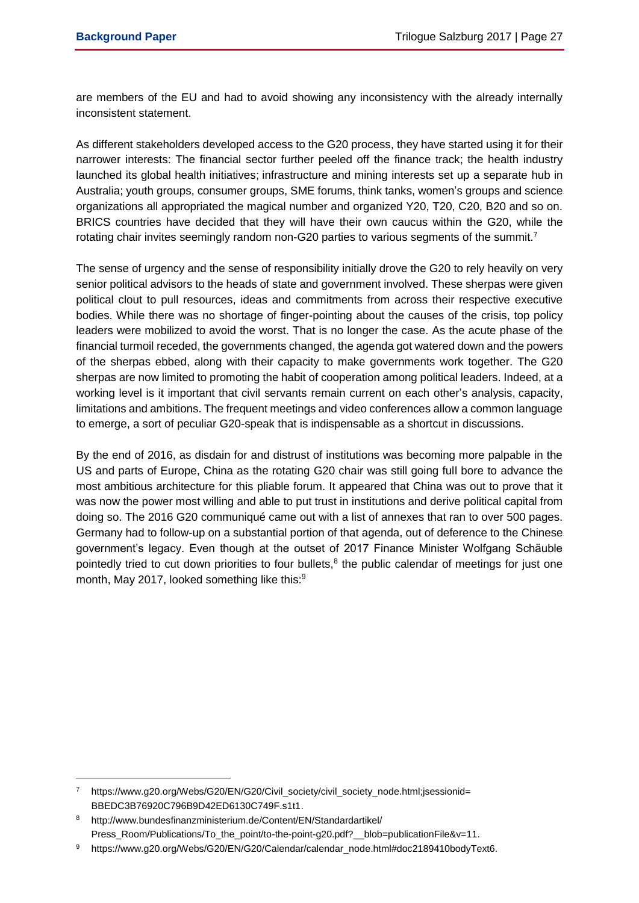$\overline{a}$ 

are members of the EU and had to avoid showing any inconsistency with the already internally inconsistent statement.

As different stakeholders developed access to the G20 process, they have started using it for their narrower interests: The financial sector further peeled off the finance track; the health industry launched its global health initiatives; infrastructure and mining interests set up a separate hub in Australia; youth groups, consumer groups, SME forums, think tanks, women's groups and science organizations all appropriated the magical number and organized Y20, T20, C20, B20 and so on. BRICS countries have decided that they will have their own caucus within the G20, while the rotating chair invites seemingly random non-G20 parties to various segments of the summit.<sup>7</sup>

The sense of urgency and the sense of responsibility initially drove the G20 to rely heavily on very senior political advisors to the heads of state and government involved. These sherpas were given political clout to pull resources, ideas and commitments from across their respective executive bodies. While there was no shortage of finger-pointing about the causes of the crisis, top policy leaders were mobilized to avoid the worst. That is no longer the case. As the acute phase of the financial turmoil receded, the governments changed, the agenda got watered down and the powers of the sherpas ebbed, along with their capacity to make governments work together. The G20 sherpas are now limited to promoting the habit of cooperation among political leaders. Indeed, at a working level is it important that civil servants remain current on each other's analysis, capacity, limitations and ambitions. The frequent meetings and video conferences allow a common language to emerge, a sort of peculiar G20-speak that is indispensable as a shortcut in discussions.

By the end of 2016, as disdain for and distrust of institutions was becoming more palpable in the US and parts of Europe, China as the rotating G20 chair was still going full bore to advance the most ambitious architecture for this pliable forum. It appeared that China was out to prove that it was now the power most willing and able to put trust in institutions and derive political capital from doing so. The 2016 G20 communiqué came out with a list of annexes that ran to over 500 pages. Germany had to follow-up on a substantial portion of that agenda, out of deference to the Chinese government's legacy. Even though at the outset of 2017 Finance Minister Wolfgang Schäuble pointedly tried to cut down priorities to four bullets, $8$  the public calendar of meetings for just one month, May 2017, looked something like this:<sup>9</sup>

https://www.g20.org/Webs/G20/EN/G20/Civil\_society/civil\_society\_node.html;jsessionid= BBEDC3B76920C796B9D42ED6130C749F.s1t1.

<sup>8</sup> http://www.bundesfinanzministerium.de/Content/EN/Standardartikel/ Press\_Room/Publications/To\_the\_point/to-the-point-g20.pdf?\_\_blob=publicationFile&v=11.

<sup>9</sup> https://www.g20.org/Webs/G20/EN/G20/Calendar/calendar\_node.html#doc2189410bodyText6.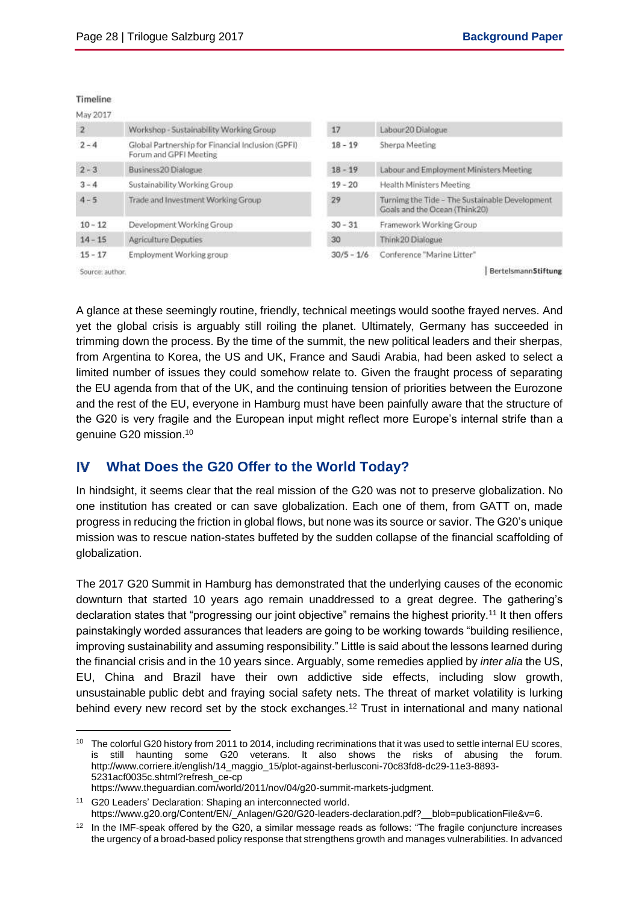## Timeline

| May 2017        |                                                                             |              |                                                                                 |
|-----------------|-----------------------------------------------------------------------------|--------------|---------------------------------------------------------------------------------|
| 2               | Workshop - Sustainability Working Group                                     | 17           | Labour 20 Dialogue                                                              |
| $2 - 4$         | Global Partnership for Financial Inclusion (GPFI)<br>Forum and GPFI Meeting | $18 - 19$    | Sherpa Meeting                                                                  |
| $2 - 3$         | Business20 Dialogue                                                         | $18 - 19$    | Labour and Employment Ministers Meeting                                         |
| $3 - 4$         | Sustainability Working Group                                                | $19 - 20$    | Health Ministers Meeting                                                        |
| $4 - 5$         | Trade and Investment Working Group                                          | 29           | Turning the Tide - The Sustainable Development<br>Goals and the Ocean (Think20) |
| $10 - 12$       | Development Working Group                                                   | $30 - 31$    | Framework Working Group                                                         |
| $14 - 15$       | Agriculture Deputies                                                        | 30           | Think20 Dialogue                                                                |
| $15 - 17$       | Employment Working group                                                    | $30/5 - 1/6$ | Conference "Marine Litter"                                                      |
| Source: author. |                                                                             |              | BertelsmannStiftung                                                             |

ponce: 910

 $\overline{a}$ 

A glance at these seemingly routine, friendly, technical meetings would soothe frayed nerves. And yet the global crisis is arguably still roiling the planet. Ultimately, Germany has succeeded in trimming down the process. By the time of the summit, the new political leaders and their sherpas, from Argentina to Korea, the US and UK, France and Saudi Arabia, had been asked to select a limited number of issues they could somehow relate to. Given the fraught process of separating the EU agenda from that of the UK, and the continuing tension of priorities between the Eurozone and the rest of the EU, everyone in Hamburg must have been painfully aware that the structure of the G20 is very fragile and the European input might reflect more Europe's internal strife than a genuine G20 mission.<sup>10</sup>

#### IV **What Does the G20 Offer to the World Today?**

In hindsight, it seems clear that the real mission of the G20 was not to preserve globalization. No one institution has created or can save globalization. Each one of them, from GATT on, made progress in reducing the friction in global flows, but none was its source or savior. The G20's unique mission was to rescue nation-states buffeted by the sudden collapse of the financial scaffolding of globalization.

The 2017 G20 Summit in Hamburg has demonstrated that the underlying causes of the economic downturn that started 10 years ago remain unaddressed to a great degree. The gathering's declaration states that "progressing our joint objective" remains the highest priority.<sup>11</sup> It then offers painstakingly worded assurances that leaders are going to be working towards "building resilience, improving sustainability and assuming responsibility." Little is said about the lessons learned during the financial crisis and in the 10 years since. Arguably, some remedies applied by *inter alia* the US, EU, China and Brazil have their own addictive side effects, including slow growth, unsustainable public debt and fraying social safety nets. The threat of market volatility is lurking behind every new record set by the stock exchanges.<sup>12</sup> Trust in international and many national

<sup>&</sup>lt;sup>10</sup> The colorful G20 history from 2011 to 2014, including recriminations that it was used to settle internal EU scores, is still haunting some G20 veterans. It also shows the risks of abusing the forum. http://www.corriere.it/english/14\_maggio\_15/plot-against-berlusconi-70c83fd8-dc29-11e3-8893- 5231acf0035c.shtml?refresh\_ce-cp

https://www.theguardian.com/world/2011/nov/04/g20-summit-markets-judgment.

<sup>11</sup> G20 Leaders' Declaration: Shaping an interconnected world. https://www.g20.org/Content/EN/\_Anlagen/G20/G20-leaders-declaration.pdf?\_\_blob=publicationFile&v=6.

<sup>&</sup>lt;sup>12</sup> In the IMF-speak offered by the G20, a similar message reads as follows: "The fragile conjuncture increases the urgency of a broad-based policy response that strengthens growth and manages vulnerabilities. In advanced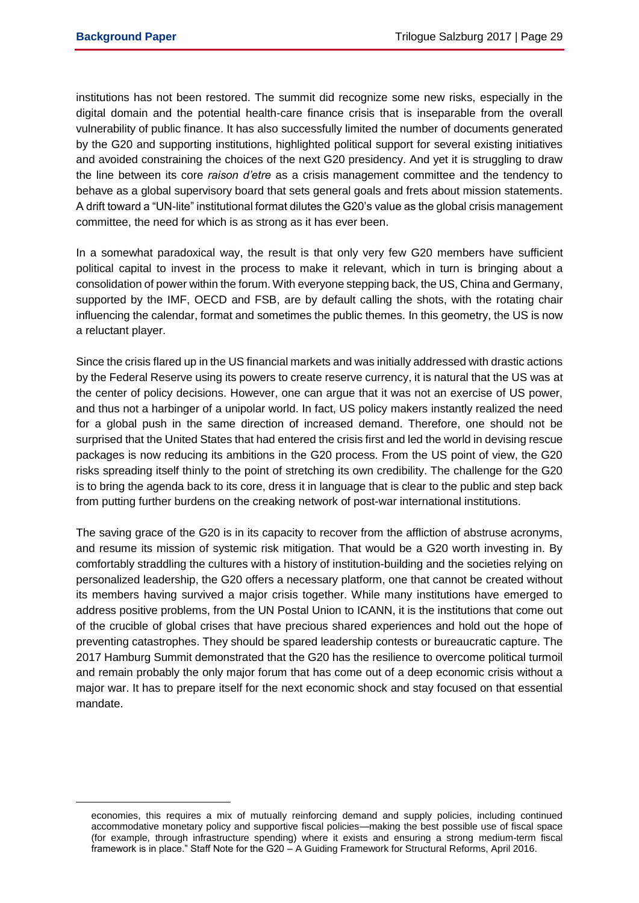$\overline{a}$ 

institutions has not been restored. The summit did recognize some new risks, especially in the digital domain and the potential health-care finance crisis that is inseparable from the overall vulnerability of public finance. It has also successfully limited the number of documents generated by the G20 and supporting institutions, highlighted political support for several existing initiatives and avoided constraining the choices of the next G20 presidency. And yet it is struggling to draw the line between its core *raison d'etre* as a crisis management committee and the tendency to behave as a global supervisory board that sets general goals and frets about mission statements. A drift toward a "UN-lite" institutional format dilutes the G20's value as the global crisis management committee, the need for which is as strong as it has ever been.

In a somewhat paradoxical way, the result is that only very few G20 members have sufficient political capital to invest in the process to make it relevant, which in turn is bringing about a consolidation of power within the forum. With everyone stepping back, the US, China and Germany, supported by the IMF, OECD and FSB, are by default calling the shots, with the rotating chair influencing the calendar, format and sometimes the public themes. In this geometry, the US is now a reluctant player.

Since the crisis flared up in the US financial markets and was initially addressed with drastic actions by the Federal Reserve using its powers to create reserve currency, it is natural that the US was at the center of policy decisions. However, one can argue that it was not an exercise of US power, and thus not a harbinger of a unipolar world. In fact, US policy makers instantly realized the need for a global push in the same direction of increased demand. Therefore, one should not be surprised that the United States that had entered the crisis first and led the world in devising rescue packages is now reducing its ambitions in the G20 process. From the US point of view, the G20 risks spreading itself thinly to the point of stretching its own credibility. The challenge for the G20 is to bring the agenda back to its core, dress it in language that is clear to the public and step back from putting further burdens on the creaking network of post-war international institutions.

The saving grace of the G20 is in its capacity to recover from the affliction of abstruse acronyms, and resume its mission of systemic risk mitigation. That would be a G20 worth investing in. By comfortably straddling the cultures with a history of institution-building and the societies relying on personalized leadership, the G20 offers a necessary platform, one that cannot be created without its members having survived a major crisis together. While many institutions have emerged to address positive problems, from the UN Postal Union to ICANN, it is the institutions that come out of the crucible of global crises that have precious shared experiences and hold out the hope of preventing catastrophes. They should be spared leadership contests or bureaucratic capture. The 2017 Hamburg Summit demonstrated that the G20 has the resilience to overcome political turmoil and remain probably the only major forum that has come out of a deep economic crisis without a major war. It has to prepare itself for the next economic shock and stay focused on that essential mandate.

economies, this requires a mix of mutually reinforcing demand and supply policies, including continued accommodative monetary policy and supportive fiscal policies—making the best possible use of fiscal space (for example, through infrastructure spending) where it exists and ensuring a strong medium-term fiscal framework is in place." Staff Note for the G20 – A Guiding Framework for Structural Reforms, April 2016.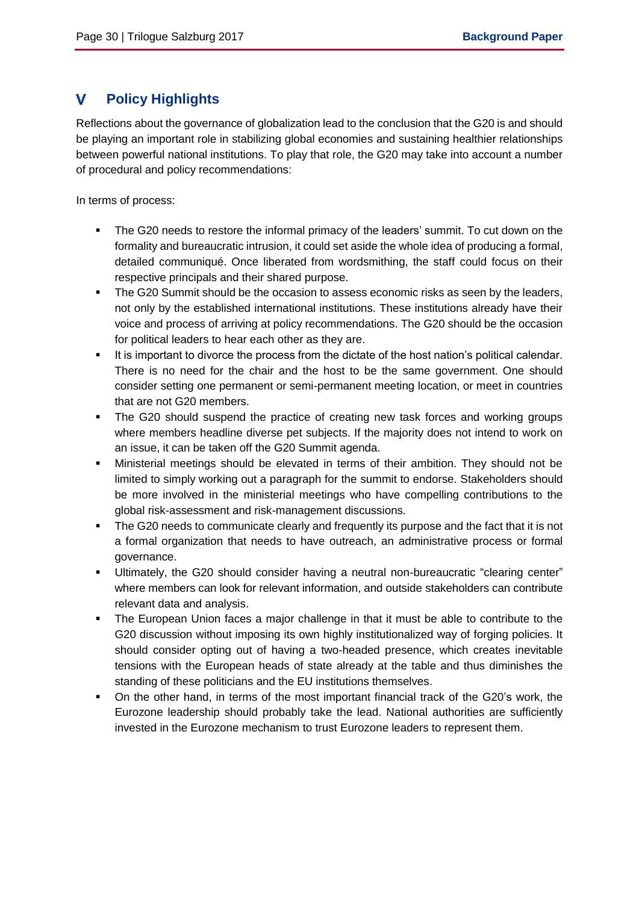#### v **Policy Highlights**

Reflections about the governance of globalization lead to the conclusion that the G20 is and should be playing an important role in stabilizing global economies and sustaining healthier relationships between powerful national institutions. To play that role, the G20 may take into account a number of procedural and policy recommendations:

In terms of process:

- The G20 needs to restore the informal primacy of the leaders' summit. To cut down on the formality and bureaucratic intrusion, it could set aside the whole idea of producing a formal, detailed communiqué. Once liberated from wordsmithing, the staff could focus on their respective principals and their shared purpose.
- The G20 Summit should be the occasion to assess economic risks as seen by the leaders, not only by the established international institutions. These institutions already have their voice and process of arriving at policy recommendations. The G20 should be the occasion for political leaders to hear each other as they are.
- It is important to divorce the process from the dictate of the host nation's political calendar. There is no need for the chair and the host to be the same government. One should consider setting one permanent or semi-permanent meeting location, or meet in countries that are not G20 members.
- The G20 should suspend the practice of creating new task forces and working groups where members headline diverse pet subjects. If the majority does not intend to work on an issue, it can be taken off the G20 Summit agenda.
- Ministerial meetings should be elevated in terms of their ambition. They should not be limited to simply working out a paragraph for the summit to endorse. Stakeholders should be more involved in the ministerial meetings who have compelling contributions to the global risk-assessment and risk-management discussions.
- The G20 needs to communicate clearly and frequently its purpose and the fact that it is not a formal organization that needs to have outreach, an administrative process or formal governance.
- Ultimately, the G20 should consider having a neutral non-bureaucratic "clearing center" where members can look for relevant information, and outside stakeholders can contribute relevant data and analysis.
- The European Union faces a major challenge in that it must be able to contribute to the G20 discussion without imposing its own highly institutionalized way of forging policies. It should consider opting out of having a two-headed presence, which creates inevitable tensions with the European heads of state already at the table and thus diminishes the standing of these politicians and the EU institutions themselves.
- On the other hand, in terms of the most important financial track of the G20's work, the Eurozone leadership should probably take the lead. National authorities are sufficiently invested in the Eurozone mechanism to trust Eurozone leaders to represent them.